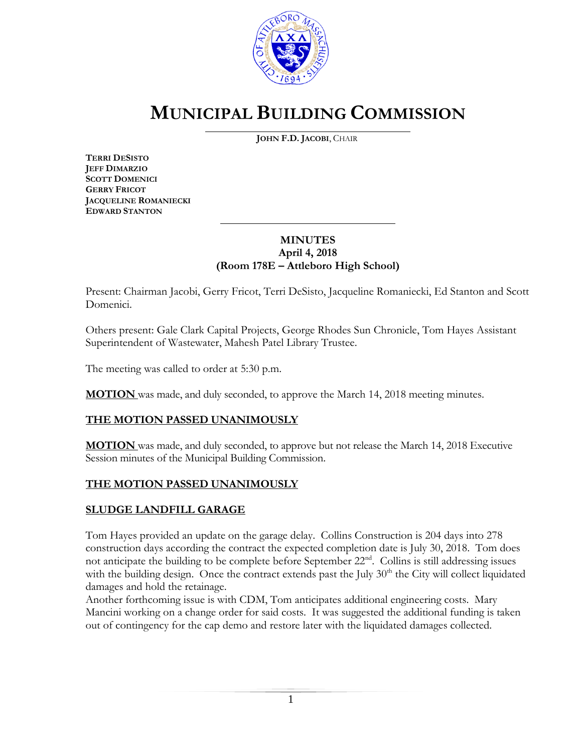

# **MUNICIPAL BUILDING COMMISSION**

**JOHN F.D. JACOBI**, CHAIR

**TERRI DESISTO JEFF DIMARZIO SCOTT DOMENICI GERRY FRICOT JACQUELINE ROMANIECKI EDWARD STANTON**

### **MINUTES April 4, 2018 (Room 178E – Attleboro High School)**

\_\_\_\_\_\_\_\_\_\_\_\_\_\_\_\_\_\_\_\_\_\_\_\_\_\_\_\_\_\_\_\_\_\_\_\_\_

Present: Chairman Jacobi, Gerry Fricot, Terri DeSisto, Jacqueline Romaniecki, Ed Stanton and Scott Domenici.

Others present: Gale Clark Capital Projects, George Rhodes Sun Chronicle, Tom Hayes Assistant Superintendent of Wastewater, Mahesh Patel Library Trustee.

The meeting was called to order at 5:30 p.m.

**MOTION** was made, and duly seconded, to approve the March 14, 2018 meeting minutes.

### **THE MOTION PASSED UNANIMOUSLY**

**MOTION** was made, and duly seconded, to approve but not release the March 14, 2018 Executive Session minutes of the Municipal Building Commission.

### **THE MOTION PASSED UNANIMOUSLY**

## **SLUDGE LANDFILL GARAGE**

Tom Hayes provided an update on the garage delay. Collins Construction is 204 days into 278 construction days according the contract the expected completion date is July 30, 2018. Tom does not anticipate the building to be complete before September 22<sup>nd</sup>. Collins is still addressing issues with the building design. Once the contract extends past the July  $30<sup>th</sup>$  the City will collect liquidated damages and hold the retainage.

Another forthcoming issue is with CDM, Tom anticipates additional engineering costs. Mary Mancini working on a change order for said costs. It was suggested the additional funding is taken out of contingency for the cap demo and restore later with the liquidated damages collected.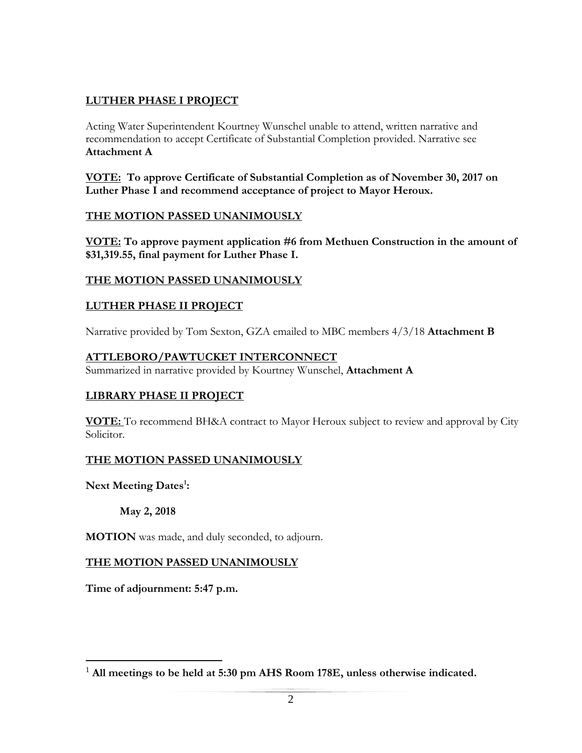## **LUTHER PHASE I PROJECT**

Acting Water Superintendent Kourtney Wunschel unable to attend, written narrative and recommendation to accept Certificate of Substantial Completion provided. Narrative see **Attachment A**

**VOTE: To approve Certificate of Substantial Completion as of November 30, 2017 on Luther Phase I and recommend acceptance of project to Mayor Heroux.**

#### **THE MOTION PASSED UNANIMOUSLY**

**VOTE: To approve payment application #6 from Methuen Construction in the amount of \$31,319.55, final payment for Luther Phase I.**

### **THE MOTION PASSED UNANIMOUSLY**

### **LUTHER PHASE II PROJECT**

Narrative provided by Tom Sexton, GZA emailed to MBC members 4/3/18 **Attachment B**

#### **ATTLEBORO/PAWTUCKET INTERCONNECT**

Summarized in narrative provided by Kourtney Wunschel, **Attachment A**

### **LIBRARY PHASE II PROJECT**

**VOTE:** To recommend BH&A contract to Mayor Heroux subject to review and approval by City Solicitor.

### **THE MOTION PASSED UNANIMOUSLY**

**Next Meeting Dates<sup>1</sup> :** 

 $\overline{a}$ 

**May 2, 2018**

**MOTION** was made, and duly seconded, to adjourn.

#### **THE MOTION PASSED UNANIMOUSLY**

**Time of adjournment: 5:47 p.m.**

<sup>1</sup> **All meetings to be held at 5:30 pm AHS Room 178E, unless otherwise indicated.**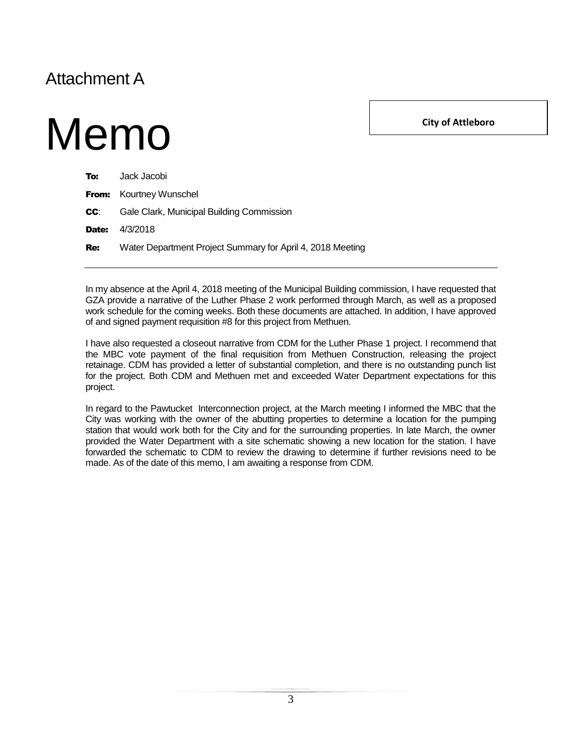## Attachment A

Memo

**City of Attleboro**

| To:        | Jack Jacobi                                                |
|------------|------------------------------------------------------------|
|            | <b>From:</b> Kourtney Wunschel                             |
| CC.        | Gale Clark, Municipal Building Commission                  |
| Date:      | 4/3/2018                                                   |
| <b>Re:</b> | Water Department Project Summary for April 4, 2018 Meeting |

In my absence at the April 4, 2018 meeting of the Municipal Building commission, I have requested that GZA provide a narrative of the Luther Phase 2 work performed through March, as well as a proposed work schedule for the coming weeks. Both these documents are attached. In addition, I have approved of and signed payment requisition #8 for this project from Methuen.

I have also requested a closeout narrative from CDM for the Luther Phase 1 project. I recommend that the MBC vote payment of the final requisition from Methuen Construction, releasing the project retainage. CDM has provided a letter of substantial completion, and there is no outstanding punch list for the project. Both CDM and Methuen met and exceeded Water Department expectations for this project.

In regard to the Pawtucket Interconnection project, at the March meeting I informed the MBC that the City was working with the owner of the abutting properties to determine a location for the pumping station that would work both for the City and for the surrounding properties. In late March, the owner provided the Water Department with a site schematic showing a new location for the station. I have forwarded the schematic to CDM to review the drawing to determine if further revisions need to be made. As of the date of this memo, I am awaiting a response from CDM.